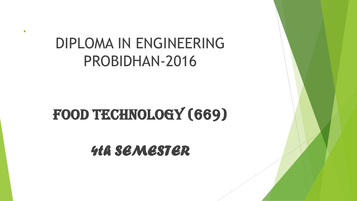## DIPLOMA IN ENGINEERING PROBIDHAN‐2016

.

# FOOD TECHNOLOGY (669)

*4th SEMESTER*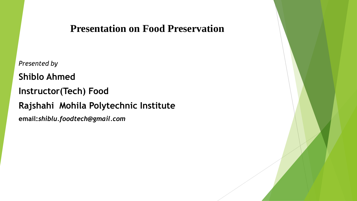#### **Presentation on Food Preservation**

*Presented by* **Shiblo Ahmed Instructor(Tech) Food Rajshahi Mohila Polytechnic Institute email:***shiblu.foodtech@gmail.com*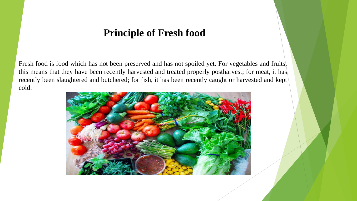#### **Principle of Fresh food**

Fresh food is food which has not been preserved and has not spoiled yet. For vegetables and fruits, this means that they have been recently harvested and treated properly postharvest; for meat, it has recently been slaughtered and butchered; for fish, it has been recently caught or harvested and kept cold.

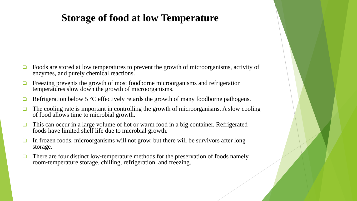### **Storage of food at low Temperature**

- Foods are stored at low temperatures to prevent the growth of microorganisms, activity of enzymes, and purely chemical reactions.
- Freezing prevents the growth of most foodborne microorganisms and refrigeration temperatures slow down the growth of microorganisms.
- Refrigeration below 5 °C effectively retards the growth of many foodborne pathogens.
- The cooling rate is important in controlling the growth of microorganisms. A slow cooling of food allows time to microbial growth.
- This can occur in a large volume of hot or warm food in a big container. Refrigerated foods have limited shelf life due to microbial growth.
- In frozen foods, microorganisms will not grow, but there will be survivors after long storage.
- There are four distinct low-temperature methods for the preservation of foods namely room‐temperature storage, chilling, refrigeration, and freezing.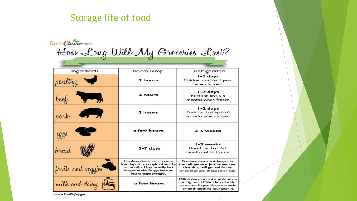### Storage life of food

| farmflavor.com                   |                                                                                                                                                 |                                                                                                                                                  |
|----------------------------------|-------------------------------------------------------------------------------------------------------------------------------------------------|--------------------------------------------------------------------------------------------------------------------------------------------------|
| How Long Will My Groceries Last? |                                                                                                                                                 |                                                                                                                                                  |
|                                  |                                                                                                                                                 |                                                                                                                                                  |
| Ingredients                      | Room Temp                                                                                                                                       | Refrigerated                                                                                                                                     |
| poultry                          | 2 hours                                                                                                                                         | I-2 days<br>Chicken can last I year<br>when frozen                                                                                               |
| $\rightarrow$<br>beek            | 2 hours                                                                                                                                         | I-2 days<br>Beef can last 6-8<br>months when frozen                                                                                              |
| $\sqrt{2}$<br>pork               | 2 hours                                                                                                                                         | I-2 days<br>Pork can last up to 6<br>months when frozen                                                                                          |
| eggs                             | a few hours                                                                                                                                     | 3-5 weeks                                                                                                                                        |
| bread                            | $5-7$ days                                                                                                                                      | I-2 weeks<br>Bread can last 2-3<br>months when frozen                                                                                            |
| fruits and veggies               | Produce items vary from a<br>few days to a couple of weeks<br>to months. They usually last<br>longer in the fridge than at<br>room temperature. | Produce items last longer in<br>the refirgerator. Just remember<br>that they will go bad faster<br>once they are chopped or cut.                 |
| milk and dairy                   | a few hours                                                                                                                                     | Milk & dairy can last a while when<br>refrigerated. Make the call with<br>your nose & eyes. If you see mold<br>or smell anything sour, pitch it. |

source: FoodSafety.gov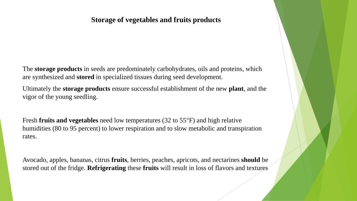#### **Storage of vegetables and fruits products**

The **storage products** in seeds are predominately carbohydrates, oils and proteins, which are synthesized and **stored** in specialized tissues during seed development.

Ultimately the **storage products** ensure successful establishment of the new **plant**, and the vigor of the young seedling.

Fresh **fruits and vegetables** need low temperatures (32 to 55°F) and high relative humidities (80 to 95 percent) to lower respiration and to slow metabolic and transpiration rates.

Avocado, apples, bananas, citrus **fruits**, berries, peaches, apricots, and nectarines **should** be stored out of the fridge. **Refrigerating** these **fruits** will result in loss of flavors and textures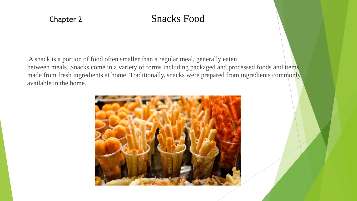### Chapter 2 Snacks Food

A snack is a portion of food often smaller than a regular meal, generally eaten between meals. Snacks come in a variety of forms including packaged and processed foods and items made from fresh ingredients at home. Traditionally, snacks were prepared from ingredients commonly available in the home.

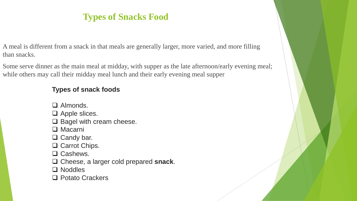### **Types of Snacks Food**

A meal is different from a snack in that meals are generally larger, more varied, and more filling than snacks.

Some serve dinner as the main meal at midday, with supper as the late afternoon/early evening meal; while others may call their midday meal lunch and their early evening meal supper

#### **Types of snack foods**

- □ Almonds.
- $\Box$  Apple slices.
- $\square$  Bagel with cream cheese.
- □ Macarni
- $\Box$  Candy bar.
- □ Carrot Chips.
- □ Cashews.
- Cheese, a larger cold prepared **snack**.
- □ Noddles
- □ Potato Crackers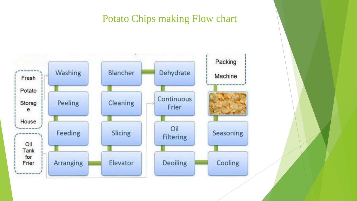#### Potato Chips making Flow chart

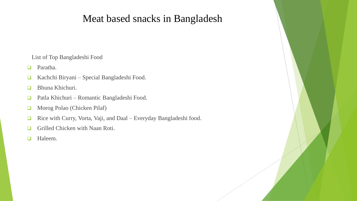### Meat based snacks in Bangladesh

List of Top Bangladeshi Food

Paratha.

- Kachchi Biryani Special Bangladeshi Food.
- **Bhuna Khichuri.**
- □ Patla Khichuri Romantic Bangladeshi Food.
- Morog Polao (Chicken Pilaf)
- □ Rice with Curry, Vorta, Vaji, and Daal Everyday Bangladeshi food.
- Grilled Chicken with Naan Roti.
- **Haleem.**